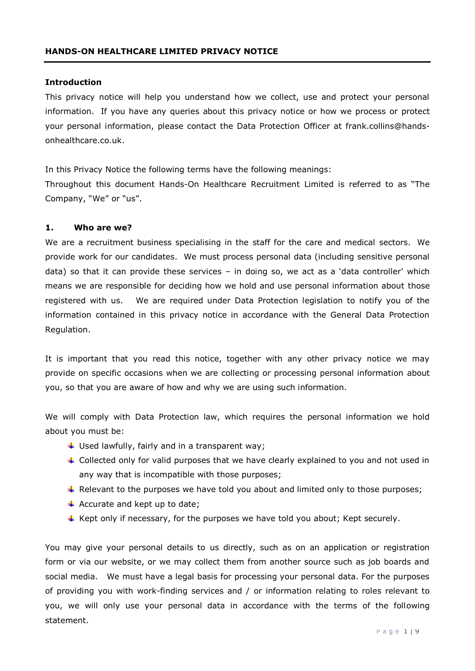#### **Introduction**

This privacy notice will help you understand how we collect, use and protect your personal information. If you have any queries about this privacy notice or how we process or protect your personal information, please contact the Data Protection Officer at frank.collins@handsonhealthcare.co.uk.

In this Privacy Notice the following terms have the following meanings: Throughout this document Hands-On Healthcare Recruitment Limited is referred to as "The Company, "We" or "us".

#### **1. Who are we?**

We are a recruitment business specialising in the staff for the care and medical sectors. We provide work for our candidates. We must process personal data (including sensitive personal data) so that it can provide these services – in doing so, we act as a 'data controller' which means we are responsible for deciding how we hold and use personal information about those registered with us. We are required under Data Protection legislation to notify you of the information contained in this privacy notice in accordance with the General Data Protection Regulation.

It is important that you read this notice, together with any other privacy notice we may provide on specific occasions when we are collecting or processing personal information about you, so that you are aware of how and why we are using such information.

We will comply with Data Protection law, which requires the personal information we hold about you must be:

- $\downarrow$  Used lawfully, fairly and in a transparent way;
- $\ddot{\phantom{1}}$  Collected only for valid purposes that we have clearly explained to you and not used in any way that is incompatible with those purposes;
- $\ddot{\phantom{1}}$  Relevant to the purposes we have told you about and limited only to those purposes;
- $\overline{\text{4}}$  Accurate and kept up to date;
- $\ddot{+}$  Kept only if necessary, for the purposes we have told you about; Kept securely.

You may give your personal details to us directly, such as on an application or registration form or via our website, or we may collect them from another source such as job boards and social media. We must have a legal basis for processing your personal data. For the purposes of providing you with work-finding services and / or information relating to roles relevant to you, we will only use your personal data in accordance with the terms of the following statement.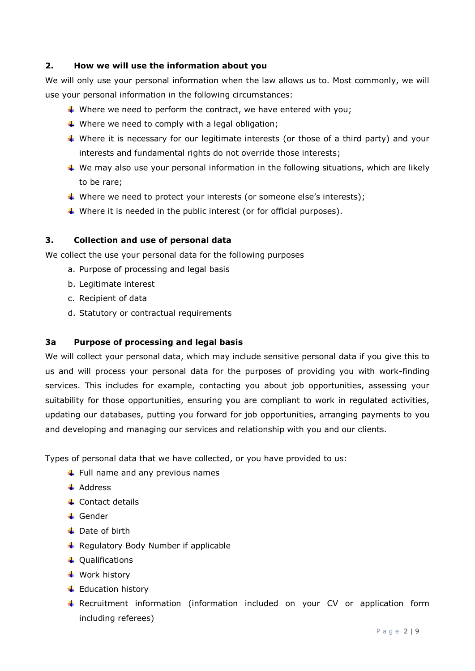# **2. How we will use the information about you**

We will only use your personal information when the law allows us to. Most commonly, we will use your personal information in the following circumstances:

- Where we need to perform the contract, we have entered with you;
- $\ddot{*}$  Where we need to comply with a legal obligation;
- Where it is necessary for our legitimate interests (or those of a third party) and your interests and fundamental rights do not override those interests;
- $\ddotmark$  We may also use your personal information in the following situations, which are likely to be rare;
- Where we need to protect your interests (or someone else's interests);
- $\ddotmark$  Where it is needed in the public interest (or for official purposes).

# **3. Collection and use of personal data**

We collect the use your personal data for the following purposes

- a. Purpose of processing and legal basis
- b. Legitimate interest
- c. Recipient of data
- d. Statutory or contractual requirements

# **3a Purpose of processing and legal basis**

We will collect your personal data, which may include sensitive personal data if you give this to us and will process your personal data for the purposes of providing you with work-finding services. This includes for example, contacting you about job opportunities, assessing your suitability for those opportunities, ensuring you are compliant to work in regulated activities, updating our databases, putting you forward for job opportunities, arranging payments to you and developing and managing our services and relationship with you and our clients.

Types of personal data that we have collected, or you have provided to us:

- $\ddot{\bullet}$  Full name and any previous names
- $\overline{\phantom{a}}$  Address
- $\overline{\phantom{a}}$  Contact details
- **↓** Gender
- $\downarrow$  Date of birth
- $\overline{\phantom{a}}$  Regulatory Body Number if applicable
- + Qualifications
- $\ddot$  Work history
- $\overline{\phantom{a}}$  Education history
- $\ddot{+}$  Recruitment information (information included on your CV or application form including referees)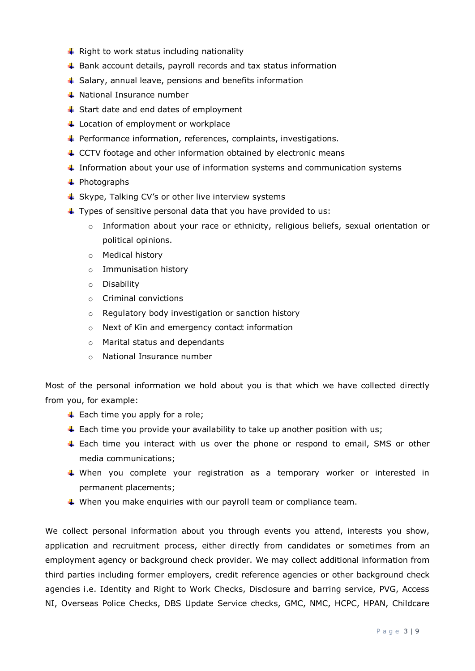- $\downarrow$  Right to work status including nationality
- $\ddot$  Bank account details, payroll records and tax status information
- $\triangleq$  Salary, annual leave, pensions and benefits information
- **↓** National Insurance number
- $\triangleq$  Start date and end dates of employment
- $\overline{\phantom{a}}$  Location of employment or workplace
- Performance information, references, complaints, investigations.
- $\triangleq$  CCTV footage and other information obtained by electronic means
- $\ddot{\phantom{1}}$  Information about your use of information systems and communication systems
- $\leftarrow$  Photographs
- $\triangleq$  Skype, Talking CV's or other live interview systems
- $\ddot{ }$  Types of sensitive personal data that you have provided to us:
	- $\circ$  Information about your race or ethnicity, religious beliefs, sexual orientation or political opinions.
	- o Medical history
	- o Immunisation history
	- o Disability
	- o Criminal convictions
	- o Regulatory body investigation or sanction history
	- o Next of Kin and emergency contact information
	- o Marital status and dependants
	- o National Insurance number

Most of the personal information we hold about you is that which we have collected directly from you, for example:

- $\ddot{\bullet}$  Each time you apply for a role;
- $\ddot{+}$  Each time you provide your availability to take up another position with us;
- $\ddot{+}$  Each time you interact with us over the phone or respond to email, SMS or other media communications;
- When you complete your registration as a temporary worker or interested in permanent placements;
- $\ddotmark$  When you make enquiries with our payroll team or compliance team.

We collect personal information about you through events you attend, interests you show, application and recruitment process, either directly from candidates or sometimes from an employment agency or background check provider. We may collect additional information from third parties including former employers, credit reference agencies or other background check agencies i.e. Identity and Right to Work Checks, Disclosure and barring service, PVG, Access NI, Overseas Police Checks, DBS Update Service checks, GMC, NMC, HCPC, HPAN, Childcare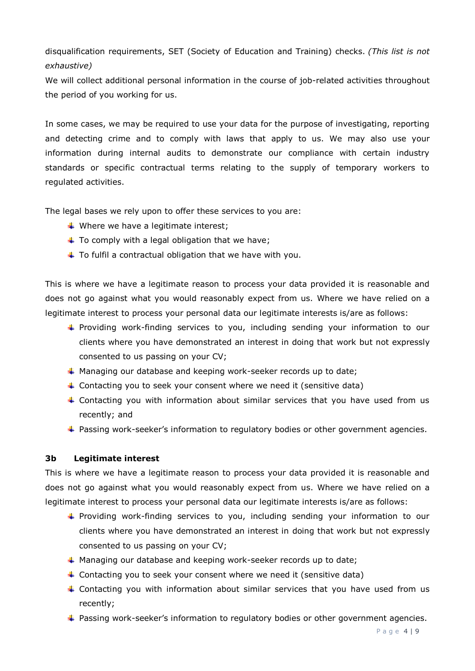disqualification requirements, SET (Society of Education and Training) checks. *(This list is not exhaustive)*

We will collect additional personal information in the course of job-related activities throughout the period of you working for us.

In some cases, we may be required to use your data for the purpose of investigating, reporting and detecting crime and to comply with laws that apply to us. We may also use your information during internal audits to demonstrate our compliance with certain industry standards or specific contractual terms relating to the supply of temporary workers to regulated activities.

The legal bases we rely upon to offer these services to you are:

- $\triangleq$  Where we have a legitimate interest;
- $\ddot{+}$  To comply with a legal obligation that we have;
- $\ddot{\phantom{1}}$  To fulfil a contractual obligation that we have with you.

This is where we have a legitimate reason to process your data provided it is reasonable and does not go against what you would reasonably expect from us. Where we have relied on a legitimate interest to process your personal data our legitimate interests is/are as follows:

- **Providing work-finding services to you, including sending your information to our** clients where you have demonstrated an interest in doing that work but not expressly consented to us passing on your CV;
- $\overline{\phantom{a}}$  Managing our database and keeping work-seeker records up to date;
- $\ddot{+}$  Contacting you to seek your consent where we need it (sensitive data)
- $\ddot{\phantom{1}}$  Contacting you with information about similar services that you have used from us recently; and
- **+** Passing work-seeker's information to regulatory bodies or other government agencies.

### **3b Legitimate interest**

This is where we have a legitimate reason to process your data provided it is reasonable and does not go against what you would reasonably expect from us. Where we have relied on a legitimate interest to process your personal data our legitimate interests is/are as follows:

- **Providing work-finding services to you, including sending your information to our** clients where you have demonstrated an interest in doing that work but not expressly consented to us passing on your CV;
- $\textcolor{red}{\textbf{4}}$  Managing our database and keeping work-seeker records up to date;
- Contacting you to seek your consent where we need it (sensitive data)
- Fontacting you with information about similar services that you have used from us recently;
- **Passing work-seeker's information to regulatory bodies or other government agencies.**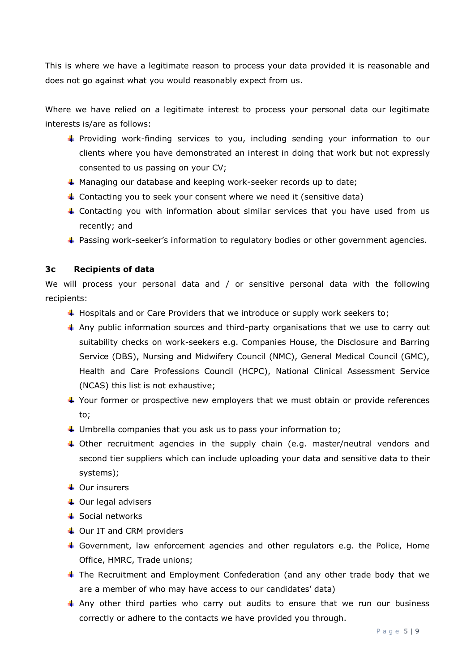This is where we have a legitimate reason to process your data provided it is reasonable and does not go against what you would reasonably expect from us.

Where we have relied on a legitimate interest to process your personal data our legitimate interests is/are as follows:

- Providing work-finding services to you, including sending your information to our clients where you have demonstrated an interest in doing that work but not expressly consented to us passing on your CV;
- Managing our database and keeping work-seeker records up to date;
- Contacting you to seek your consent where we need it (sensitive data)
- $\ddot{\phantom{1}}$  Contacting you with information about similar services that you have used from us recently; and
- **Passing work-seeker's information to regulatory bodies or other government agencies.**

# **3c Recipients of data**

We will process your personal data and / or sensitive personal data with the following recipients:

- $\ddot{+}$  Hospitals and or Care Providers that we introduce or supply work seekers to;
- $\ddot{+}$  Any public information sources and third-party organisations that we use to carry out suitability checks on work-seekers e.g. Companies House, the Disclosure and Barring Service (DBS), Nursing and Midwifery Council (NMC), General Medical Council (GMC), Health and Care Professions Council (HCPC), National Clinical Assessment Service (NCAS) this list is not exhaustive;
- $\ddotmark$  Your former or prospective new employers that we must obtain or provide references to;
- $\ddot{+}$  Umbrella companies that you ask us to pass your information to;
- Other recruitment agencies in the supply chain (e.g. master/neutral vendors and second tier suppliers which can include uploading your data and sensitive data to their systems);
- **↓** Our insurers
- $\overline{\phantom{a}}$  Our legal advisers
- $\triangleq$  Social networks
- $\overline{\phantom{a}}$  Our IT and CRM providers
- Government, law enforcement agencies and other regulators e.g. the Police, Home Office, HMRC, Trade unions;
- $\ddot{\phantom{1}}$  The Recruitment and Employment Confederation (and any other trade body that we are a member of who may have access to our candidates' data)
- $\ddotmark$  Any other third parties who carry out audits to ensure that we run our business correctly or adhere to the contacts we have provided you through.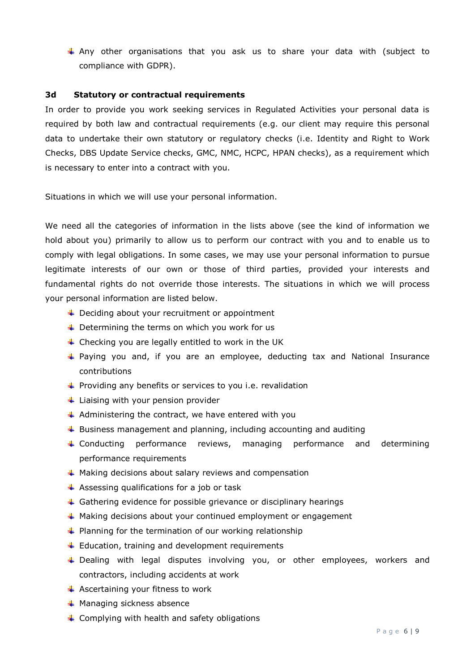$\ddot$  Any other organisations that you ask us to share your data with (subject to compliance with GDPR).

### **3d Statutory or contractual requirements**

In order to provide you work seeking services in Regulated Activities your personal data is required by both law and contractual requirements (e.g. our client may require this personal data to undertake their own statutory or regulatory checks (i.e. Identity and Right to Work Checks, DBS Update Service checks, GMC, NMC, HCPC, HPAN checks), as a requirement which is necessary to enter into a contract with you.

Situations in which we will use your personal information.

We need all the categories of information in the lists above (see the kind of information we hold about you) primarily to allow us to perform our contract with you and to enable us to comply with legal obligations. In some cases, we may use your personal information to pursue legitimate interests of our own or those of third parties, provided your interests and fundamental rights do not override those interests. The situations in which we will process your personal information are listed below.

- $\ddot{+}$  Deciding about your recruitment or appointment
- $\ddotmark$  Determining the terms on which you work for us
- $\ddot{\phantom{1}}$  Checking you are legally entitled to work in the UK
- Paying you and, if you are an employee, deducting tax and National Insurance contributions
- $\ddot{\phantom{1}}$  Providing any benefits or services to you i.e. revalidation
- $\ddot{\bullet}$  Liaising with your pension provider
- $\overline{\text{+}}$  Administering the contract, we have entered with you
- $\ddot{\phantom{1}}$  Business management and planning, including accounting and auditing
- Conducting performance reviews, managing performance and determining performance requirements
- $\ddot{*}$  Making decisions about salary reviews and compensation
- $\overline{\phantom{a}}$  Assessing qualifications for a job or task
- $\ddotmark$  Gathering evidence for possible grievance or disciplinary hearings
- $\ddot$  Making decisions about your continued employment or engagement
- $\ddot{\phantom{1}}$  Planning for the termination of our working relationship
- $\ddot{+}$  Education, training and development requirements
- Dealing with legal disputes involving you, or other employees, workers and contractors, including accidents at work
- $\overline{\text{4}}$  Ascertaining your fitness to work
- $\overline{\phantom{a}}$  Managing sickness absence
- $\triangleq$  Complying with health and safety obligations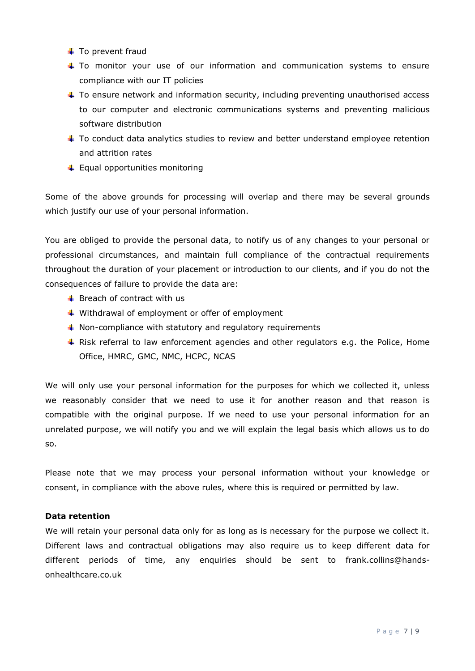- $\ddot{\bullet}$  To prevent fraud
- $\ddot$  To monitor your use of our information and communication systems to ensure compliance with our IT policies
- $\ddot{}$  To ensure network and information security, including preventing unauthorised access to our computer and electronic communications systems and preventing malicious software distribution
- $\ddot{}$  To conduct data analytics studies to review and better understand employee retention and attrition rates
- $\leftarrow$  Equal opportunities monitoring

Some of the above grounds for processing will overlap and there may be several grounds which justify our use of your personal information.

You are obliged to provide the personal data, to notify us of any changes to your personal or professional circumstances, and maintain full compliance of the contractual requirements throughout the duration of your placement or introduction to our clients, and if you do not the consequences of failure to provide the data are:

- $\leftarrow$  Breach of contract with us
- $\ddotmark$  Withdrawal of employment or offer of employment
- $\ddotmark$  Non-compliance with statutory and regulatory requirements
- $\ddotmark$  Risk referral to law enforcement agencies and other regulators e.g. the Police, Home Office, HMRC, GMC, NMC, HCPC, NCAS

We will only use your personal information for the purposes for which we collected it, unless we reasonably consider that we need to use it for another reason and that reason is compatible with the original purpose. If we need to use your personal information for an unrelated purpose, we will notify you and we will explain the legal basis which allows us to do so.

Please note that we may process your personal information without your knowledge or consent, in compliance with the above rules, where this is required or permitted by law.

# **Data retention**

We will retain your personal data only for as long as is necessary for the purpose we collect it. Different laws and contractual obligations may also require us to keep different data for different periods of time, any enquiries should be sent to frank.collins@handsonhealthcare.co.uk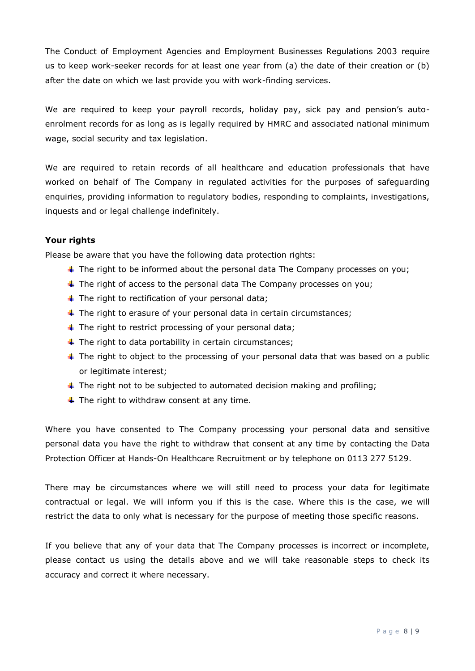The Conduct of Employment Agencies and Employment Businesses Regulations 2003 require us to keep work-seeker records for at least one year from (a) the date of their creation or (b) after the date on which we last provide you with work-finding services.

We are required to keep your payroll records, holiday pay, sick pay and pension's autoenrolment records for as long as is legally required by HMRC and associated national minimum wage, social security and tax legislation.

We are required to retain records of all healthcare and education professionals that have worked on behalf of The Company in regulated activities for the purposes of safeguarding enquiries, providing information to regulatory bodies, responding to complaints, investigations, inquests and or legal challenge indefinitely.

# **Your rights**

Please be aware that you have the following data protection rights:

- $\ddot{\phantom{1}}$  The right to be informed about the personal data The Company processes on you;
- $\ddot{\phantom{1}}$  The right of access to the personal data The Company processes on you;
- $\ddot{+}$  The right to rectification of your personal data;
- $\ddot{\phantom{1}}$  The right to erasure of your personal data in certain circumstances;
- $\ddotmark$  The right to restrict processing of your personal data;
- $\ddot$  The right to data portability in certain circumstances;
- $\ddot{\phantom{1}}$  The right to object to the processing of your personal data that was based on a public or legitimate interest;
- $\ddot{\phantom{1}}$  The right not to be subjected to automated decision making and profiling;
- $\ddot{+}$  The right to withdraw consent at any time.

Where you have consented to The Company processing your personal data and sensitive personal data you have the right to withdraw that consent at any time by contacting the Data Protection Officer at Hands-On Healthcare Recruitment or by telephone on 0113 277 5129.

There may be circumstances where we will still need to process your data for legitimate contractual or legal. We will inform you if this is the case. Where this is the case, we will restrict the data to only what is necessary for the purpose of meeting those specific reasons.

If you believe that any of your data that The Company processes is incorrect or incomplete, please contact us using the details above and we will take reasonable steps to check its accuracy and correct it where necessary.